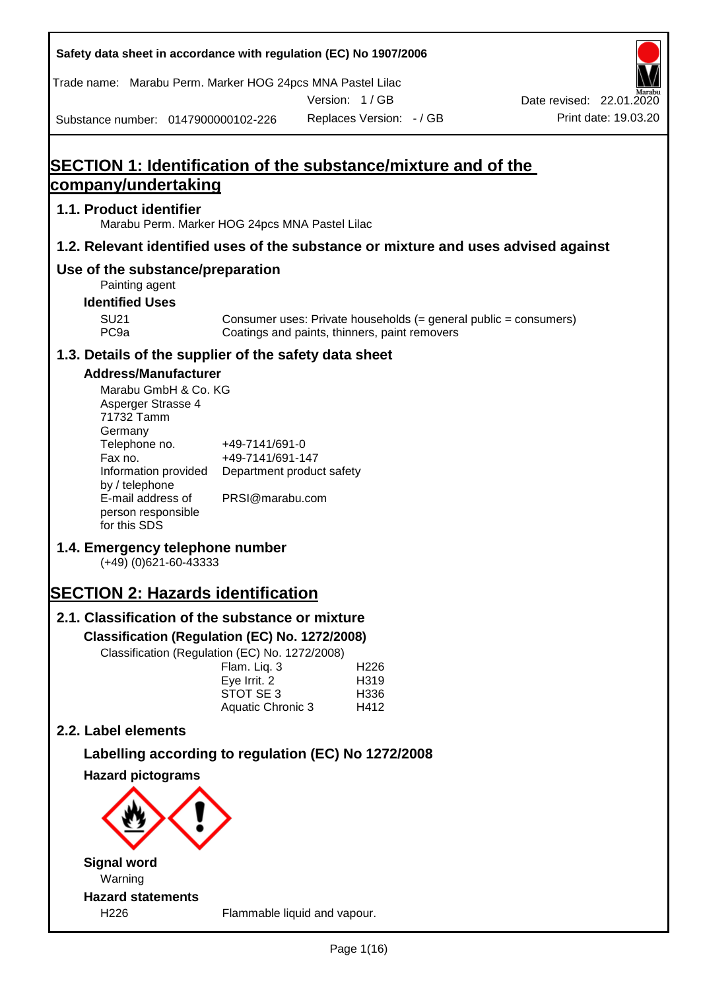| Safety data sheet in accordance with regulation (EC) No 1907/2006                                                                                                                                                                                                                                                                                                                                                                                                                                    |                                                                                                                                                      |               |                                          |                                                                  |
|------------------------------------------------------------------------------------------------------------------------------------------------------------------------------------------------------------------------------------------------------------------------------------------------------------------------------------------------------------------------------------------------------------------------------------------------------------------------------------------------------|------------------------------------------------------------------------------------------------------------------------------------------------------|---------------|------------------------------------------|------------------------------------------------------------------|
| Trade name: Marabu Perm. Marker HOG 24pcs MNA Pastel Lilac                                                                                                                                                                                                                                                                                                                                                                                                                                           |                                                                                                                                                      | Version: 1/GB |                                          |                                                                  |
| Substance number: 0147900000102-226                                                                                                                                                                                                                                                                                                                                                                                                                                                                  |                                                                                                                                                      |               | Replaces Version: - / GB                 | Date revised: 22.01.2020<br>Print date: 19.03.20                 |
|                                                                                                                                                                                                                                                                                                                                                                                                                                                                                                      |                                                                                                                                                      |               |                                          |                                                                  |
| <b>SECTION 1: Identification of the substance/mixture and of the</b>                                                                                                                                                                                                                                                                                                                                                                                                                                 |                                                                                                                                                      |               |                                          |                                                                  |
| company/undertaking                                                                                                                                                                                                                                                                                                                                                                                                                                                                                  |                                                                                                                                                      |               |                                          |                                                                  |
| 1.1. Product identifier<br>Marabu Perm. Marker HOG 24pcs MNA Pastel Lilac                                                                                                                                                                                                                                                                                                                                                                                                                            |                                                                                                                                                      |               |                                          |                                                                  |
| 1.2. Relevant identified uses of the substance or mixture and uses advised against                                                                                                                                                                                                                                                                                                                                                                                                                   |                                                                                                                                                      |               |                                          |                                                                  |
| Use of the substance/preparation<br>Painting agent                                                                                                                                                                                                                                                                                                                                                                                                                                                   |                                                                                                                                                      |               |                                          |                                                                  |
| <b>Identified Uses</b>                                                                                                                                                                                                                                                                                                                                                                                                                                                                               |                                                                                                                                                      |               |                                          |                                                                  |
| <b>SU21</b><br>PC <sub>9a</sub>                                                                                                                                                                                                                                                                                                                                                                                                                                                                      | Coatings and paints, thinners, paint removers                                                                                                        |               |                                          | Consumer uses: Private households (= general public = consumers) |
| 1.3. Details of the supplier of the safety data sheet                                                                                                                                                                                                                                                                                                                                                                                                                                                |                                                                                                                                                      |               |                                          |                                                                  |
| <b>Address/Manufacturer</b><br>Marabu GmbH & Co. KG<br>Asperger Strasse 4<br>71732 Tamm<br>Germany<br>Telephone no.<br>Fax no.<br>Information provided<br>by / telephone<br>E-mail address of<br>person responsible<br>for this SDS<br>1.4. Emergency telephone number<br>$(+49)$ (0)621-60-43333<br><b>SECTION 2: Hazards identification</b><br>2.1. Classification of the substance or mixture<br>Classification (Regulation (EC) No. 1272/2008)<br>Classification (Regulation (EC) No. 1272/2008) | +49-7141/691-0<br>+49-7141/691-147<br>Department product safety<br>PRSI@marabu.com<br>Flam. Liq. 3<br>Eye Irrit. 2<br>STOT SE 3<br>Aquatic Chronic 3 |               | H <sub>226</sub><br>H319<br>H336<br>H412 |                                                                  |
| 2.2. Label elements                                                                                                                                                                                                                                                                                                                                                                                                                                                                                  |                                                                                                                                                      |               |                                          |                                                                  |
| Labelling according to regulation (EC) No 1272/2008                                                                                                                                                                                                                                                                                                                                                                                                                                                  |                                                                                                                                                      |               |                                          |                                                                  |
| <b>Hazard pictograms</b>                                                                                                                                                                                                                                                                                                                                                                                                                                                                             |                                                                                                                                                      |               |                                          |                                                                  |
|                                                                                                                                                                                                                                                                                                                                                                                                                                                                                                      |                                                                                                                                                      |               |                                          |                                                                  |
| <b>Signal word</b>                                                                                                                                                                                                                                                                                                                                                                                                                                                                                   |                                                                                                                                                      |               |                                          |                                                                  |
| Warning<br><b>Hazard statements</b>                                                                                                                                                                                                                                                                                                                                                                                                                                                                  |                                                                                                                                                      |               |                                          |                                                                  |
| H226                                                                                                                                                                                                                                                                                                                                                                                                                                                                                                 | Flammable liquid and vapour.                                                                                                                         |               |                                          |                                                                  |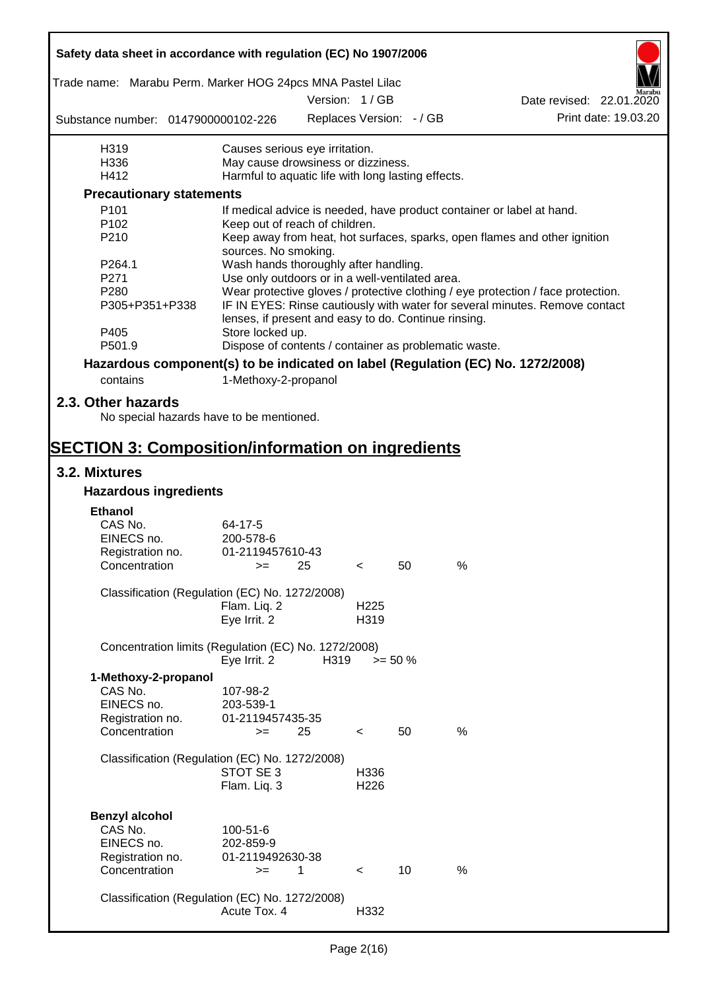|                                                                                 | Safety data sheet in accordance with regulation (EC) No 1907/2006        |      |                          |            |      |                                                                                  |  |  |
|---------------------------------------------------------------------------------|--------------------------------------------------------------------------|------|--------------------------|------------|------|----------------------------------------------------------------------------------|--|--|
| Trade name: Marabu Perm. Marker HOG 24pcs MNA Pastel Lilac                      |                                                                          |      |                          |            |      |                                                                                  |  |  |
|                                                                                 |                                                                          |      | Version: 1/GB            |            |      | Date revised: 22.01.2020                                                         |  |  |
| Substance number: 0147900000102-226                                             |                                                                          |      | Replaces Version: - / GB |            |      | Print date: 19.03.20                                                             |  |  |
| H319                                                                            | Causes serious eye irritation.                                           |      |                          |            |      |                                                                                  |  |  |
| H336                                                                            | May cause drowsiness or dizziness.                                       |      |                          |            |      |                                                                                  |  |  |
| H412                                                                            | Harmful to aquatic life with long lasting effects.                       |      |                          |            |      |                                                                                  |  |  |
| <b>Precautionary statements</b>                                                 |                                                                          |      |                          |            |      |                                                                                  |  |  |
| P <sub>101</sub>                                                                |                                                                          |      |                          |            |      | If medical advice is needed, have product container or label at hand.            |  |  |
| P <sub>102</sub>                                                                | Keep out of reach of children.                                           |      |                          |            |      |                                                                                  |  |  |
| P210                                                                            | sources. No smoking.                                                     |      |                          |            |      | Keep away from heat, hot surfaces, sparks, open flames and other ignition        |  |  |
| P264.1                                                                          | Wash hands thoroughly after handling.                                    |      |                          |            |      |                                                                                  |  |  |
| P271                                                                            | Use only outdoors or in a well-ventilated area.                          |      |                          |            |      |                                                                                  |  |  |
| P280                                                                            |                                                                          |      |                          |            |      | Wear protective gloves / protective clothing / eye protection / face protection. |  |  |
| P305+P351+P338                                                                  |                                                                          |      |                          |            |      | IF IN EYES: Rinse cautiously with water for several minutes. Remove contact      |  |  |
| P405                                                                            | lenses, if present and easy to do. Continue rinsing.<br>Store locked up. |      |                          |            |      |                                                                                  |  |  |
| P501.9                                                                          | Dispose of contents / container as problematic waste.                    |      |                          |            |      |                                                                                  |  |  |
| Hazardous component(s) to be indicated on label (Regulation (EC) No. 1272/2008) |                                                                          |      |                          |            |      |                                                                                  |  |  |
| contains                                                                        | 1-Methoxy-2-propanol                                                     |      |                          |            |      |                                                                                  |  |  |
| 2.3. Other hazards                                                              |                                                                          |      |                          |            |      |                                                                                  |  |  |
| No special hazards have to be mentioned.                                        |                                                                          |      |                          |            |      |                                                                                  |  |  |
| <b>SECTION 3: Composition/information on ingredients</b>                        |                                                                          |      |                          |            |      |                                                                                  |  |  |
| 3.2. Mixtures                                                                   |                                                                          |      |                          |            |      |                                                                                  |  |  |
| <b>Hazardous ingredients</b>                                                    |                                                                          |      |                          |            |      |                                                                                  |  |  |
| <b>Ethanol</b>                                                                  |                                                                          |      |                          |            |      |                                                                                  |  |  |
| CAS No.                                                                         | 64-17-5                                                                  |      |                          |            |      |                                                                                  |  |  |
| EINECS no.                                                                      | 200-578-6                                                                |      |                          |            |      |                                                                                  |  |  |
| Registration no.                                                                | 01-2119457610-43                                                         |      |                          |            |      |                                                                                  |  |  |
| Concentration                                                                   | $>=$ 25                                                                  |      | $\sim$                   | 50         | %    |                                                                                  |  |  |
|                                                                                 |                                                                          |      |                          |            |      |                                                                                  |  |  |
| Classification (Regulation (EC) No. 1272/2008)                                  |                                                                          |      | H <sub>225</sub>         |            |      |                                                                                  |  |  |
|                                                                                 | Flam. Liq. 2<br>Eye Irrit. 2                                             |      | H319                     |            |      |                                                                                  |  |  |
|                                                                                 |                                                                          |      |                          |            |      |                                                                                  |  |  |
| Concentration limits (Regulation (EC) No. 1272/2008)                            | Eye Irrit. 2                                                             | H319 |                          | $>= 50 \%$ |      |                                                                                  |  |  |
| 1-Methoxy-2-propanol                                                            |                                                                          |      |                          |            |      |                                                                                  |  |  |
| CAS No.                                                                         | 107-98-2                                                                 |      |                          |            |      |                                                                                  |  |  |
| EINECS no.                                                                      | 203-539-1                                                                |      |                          |            |      |                                                                                  |  |  |
| Registration no.                                                                | 01-2119457435-35                                                         |      |                          |            |      |                                                                                  |  |  |
| Concentration                                                                   | $>=$                                                                     | 25   | $\,<\,$                  | 50         | %    |                                                                                  |  |  |
|                                                                                 |                                                                          |      |                          |            |      |                                                                                  |  |  |
| Classification (Regulation (EC) No. 1272/2008)                                  |                                                                          |      |                          |            |      |                                                                                  |  |  |
|                                                                                 | STOT SE 3                                                                |      | H336                     |            |      |                                                                                  |  |  |
|                                                                                 | Flam. Liq. 3                                                             |      | H <sub>226</sub>         |            |      |                                                                                  |  |  |
|                                                                                 |                                                                          |      |                          |            |      |                                                                                  |  |  |
| <b>Benzyl alcohol</b><br>CAS No.                                                |                                                                          |      |                          |            |      |                                                                                  |  |  |
| EINECS no.                                                                      | 100-51-6                                                                 |      |                          |            |      |                                                                                  |  |  |
|                                                                                 | 202-859-9                                                                |      |                          |            |      |                                                                                  |  |  |
| Registration no.<br>Concentration                                               | 01-2119492630-38                                                         |      |                          |            | $\%$ |                                                                                  |  |  |
|                                                                                 | $>=$                                                                     | 1    | $\,<\,$                  | 10         |      |                                                                                  |  |  |
| Classification (Regulation (EC) No. 1272/2008)                                  |                                                                          |      |                          |            |      |                                                                                  |  |  |
|                                                                                 | Acute Tox. 4                                                             |      | H332                     |            |      |                                                                                  |  |  |
|                                                                                 |                                                                          |      |                          |            |      |                                                                                  |  |  |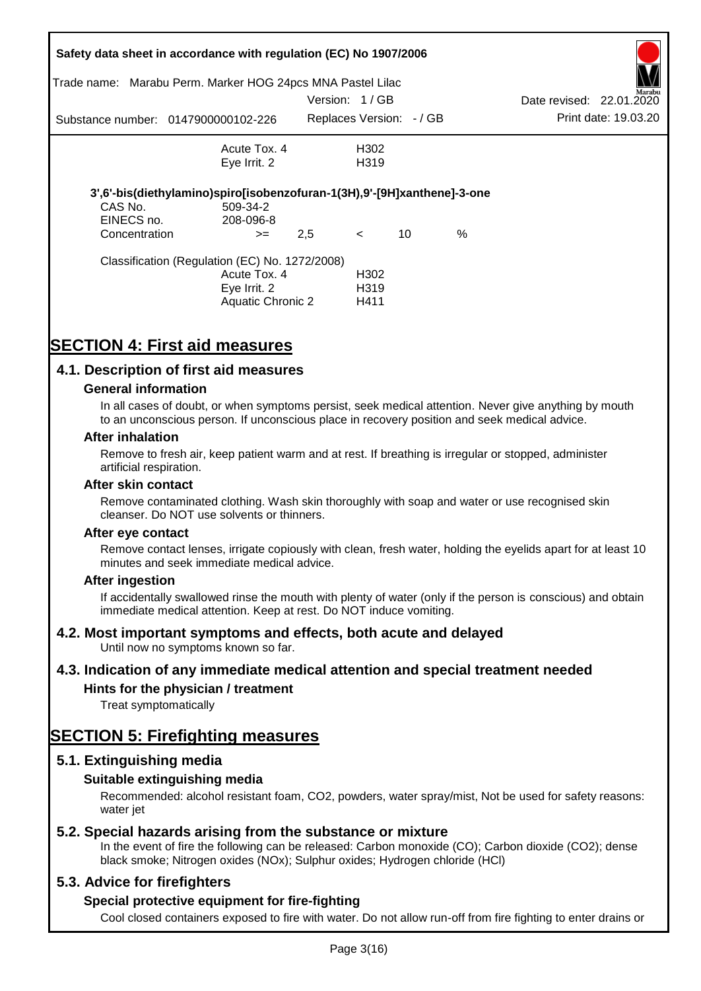| Trade name:                 | Safety data sheet in accordance with regulation (EC) No 1907/2006<br>Marabu Perm. Marker HOG 24pcs MNA Pastel Lilac |               |                           |    |      |                          |                      |
|-----------------------------|---------------------------------------------------------------------------------------------------------------------|---------------|---------------------------|----|------|--------------------------|----------------------|
|                             |                                                                                                                     | Version: 1/GB |                           |    |      | Date revised: 22.01.2020 | Marabu               |
|                             | Substance number: 0147900000102-226                                                                                 |               | Replaces Version: - / GB  |    |      |                          | Print date: 19.03.20 |
|                             | Acute Tox, 4                                                                                                        |               | H302                      |    |      |                          |                      |
|                             | Eye Irrit. 2                                                                                                        |               | H <sub>3</sub> 19         |    |      |                          |                      |
|                             | 3',6'-bis(diethylamino)spiro[isobenzofuran-1(3H),9'-[9H]xanthene]-3-one                                             |               |                           |    |      |                          |                      |
| CAS No.                     | 509-34-2                                                                                                            |               |                           |    |      |                          |                      |
| EINECS no.<br>Concentration | 208-096-8<br>$>=$                                                                                                   | 2,5           | $\lt$                     | 10 | $\%$ |                          |                      |
|                             | Classification (Regulation (EC) No. 1272/2008)                                                                      |               |                           |    |      |                          |                      |
|                             | Acute Tox. 4                                                                                                        |               | H <sub>302</sub>          |    |      |                          |                      |
|                             | Eye Irrit. 2<br><b>Aquatic Chronic 2</b>                                                                            |               | H <sub>3</sub> 19<br>H411 |    |      |                          |                      |
|                             |                                                                                                                     |               |                           |    |      |                          |                      |

# **SECTION 4: First aid measures**

# **4.1. Description of first aid measures**

### **General information**

In all cases of doubt, or when symptoms persist, seek medical attention. Never give anything by mouth to an unconscious person. If unconscious place in recovery position and seek medical advice.

#### **After inhalation**

Remove to fresh air, keep patient warm and at rest. If breathing is irregular or stopped, administer artificial respiration.

#### **After skin contact**

Remove contaminated clothing. Wash skin thoroughly with soap and water or use recognised skin cleanser. Do NOT use solvents or thinners.

#### **After eye contact**

Remove contact lenses, irrigate copiously with clean, fresh water, holding the eyelids apart for at least 10 minutes and seek immediate medical advice.

#### **After ingestion**

If accidentally swallowed rinse the mouth with plenty of water (only if the person is conscious) and obtain immediate medical attention. Keep at rest. Do NOT induce vomiting.

# **4.2. Most important symptoms and effects, both acute and delayed**

Until now no symptoms known so far.

# **4.3. Indication of any immediate medical attention and special treatment needed**

# **Hints for the physician / treatment**

Treat symptomatically

# **SECTION 5: Firefighting measures**

# **5.1. Extinguishing media**

# **Suitable extinguishing media**

Recommended: alcohol resistant foam, CO2, powders, water spray/mist, Not be used for safety reasons: water *iet* 

# **5.2. Special hazards arising from the substance or mixture**

In the event of fire the following can be released: Carbon monoxide (CO); Carbon dioxide (CO2); dense black smoke; Nitrogen oxides (NOx); Sulphur oxides; Hydrogen chloride (HCl)

# **5.3. Advice for firefighters**

# **Special protective equipment for fire-fighting**

Cool closed containers exposed to fire with water. Do not allow run-off from fire fighting to enter drains or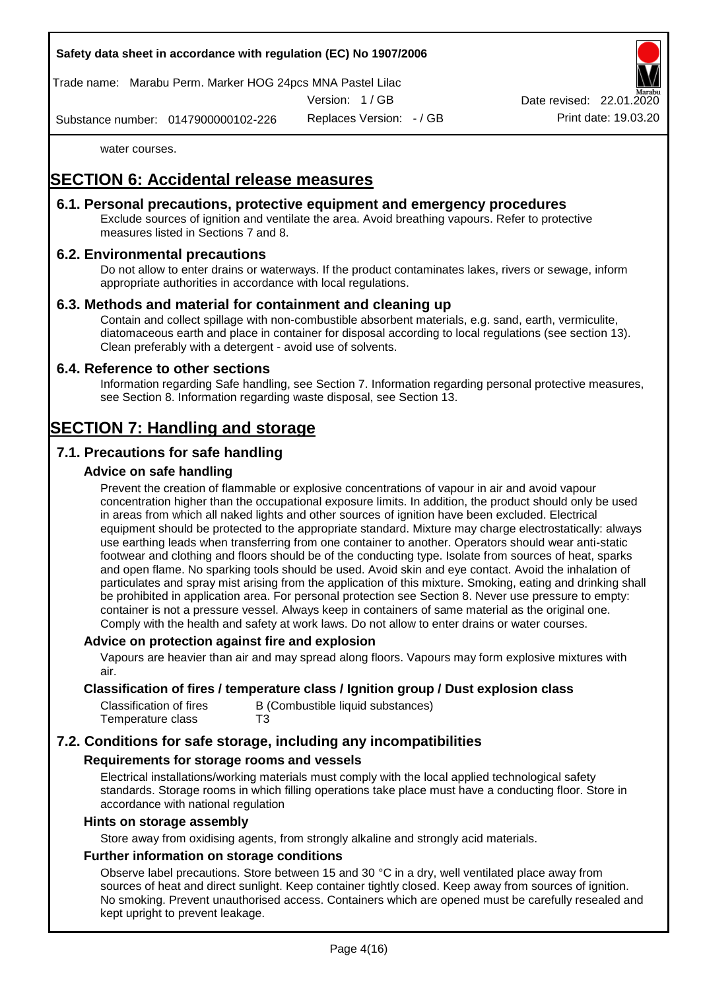

Trade name: Marabu Perm. Marker HOG 24pcs MNA Pastel Lilac

Version: 1 / GB

Replaces Version: - / GB Print date: 19.03.20 Date revised: 22.01.

Substance number: 0147900000102-226

water courses.

# **SECTION 6: Accidental release measures**

# **6.1. Personal precautions, protective equipment and emergency procedures**

Exclude sources of ignition and ventilate the area. Avoid breathing vapours. Refer to protective measures listed in Sections 7 and 8.

# **6.2. Environmental precautions**

Do not allow to enter drains or waterways. If the product contaminates lakes, rivers or sewage, inform appropriate authorities in accordance with local regulations.

# **6.3. Methods and material for containment and cleaning up**

Contain and collect spillage with non-combustible absorbent materials, e.g. sand, earth, vermiculite, diatomaceous earth and place in container for disposal according to local regulations (see section 13). Clean preferably with a detergent - avoid use of solvents.

# **6.4. Reference to other sections**

Information regarding Safe handling, see Section 7. Information regarding personal protective measures, see Section 8. Information regarding waste disposal, see Section 13.

# **SECTION 7: Handling and storage**

# **7.1. Precautions for safe handling**

# **Advice on safe handling**

Prevent the creation of flammable or explosive concentrations of vapour in air and avoid vapour concentration higher than the occupational exposure limits. In addition, the product should only be used in areas from which all naked lights and other sources of ignition have been excluded. Electrical equipment should be protected to the appropriate standard. Mixture may charge electrostatically: always use earthing leads when transferring from one container to another. Operators should wear anti-static footwear and clothing and floors should be of the conducting type. Isolate from sources of heat, sparks and open flame. No sparking tools should be used. Avoid skin and eye contact. Avoid the inhalation of particulates and spray mist arising from the application of this mixture. Smoking, eating and drinking shall be prohibited in application area. For personal protection see Section 8. Never use pressure to empty: container is not a pressure vessel. Always keep in containers of same material as the original one. Comply with the health and safety at work laws. Do not allow to enter drains or water courses.

# **Advice on protection against fire and explosion**

Vapours are heavier than air and may spread along floors. Vapours may form explosive mixtures with air.

### **Classification of fires / temperature class / Ignition group / Dust explosion class**

| Classification of fires | B (Combustible liquid substances) |
|-------------------------|-----------------------------------|
| Temperature class       | T3                                |

# **7.2. Conditions for safe storage, including any incompatibilities**

# **Requirements for storage rooms and vessels**

Electrical installations/working materials must comply with the local applied technological safety standards. Storage rooms in which filling operations take place must have a conducting floor. Store in accordance with national regulation

#### **Hints on storage assembly**

Store away from oxidising agents, from strongly alkaline and strongly acid materials.

# **Further information on storage conditions**

Observe label precautions. Store between 15 and 30 °C in a dry, well ventilated place away from sources of heat and direct sunlight. Keep container tightly closed. Keep away from sources of ignition. No smoking. Prevent unauthorised access. Containers which are opened must be carefully resealed and kept upright to prevent leakage.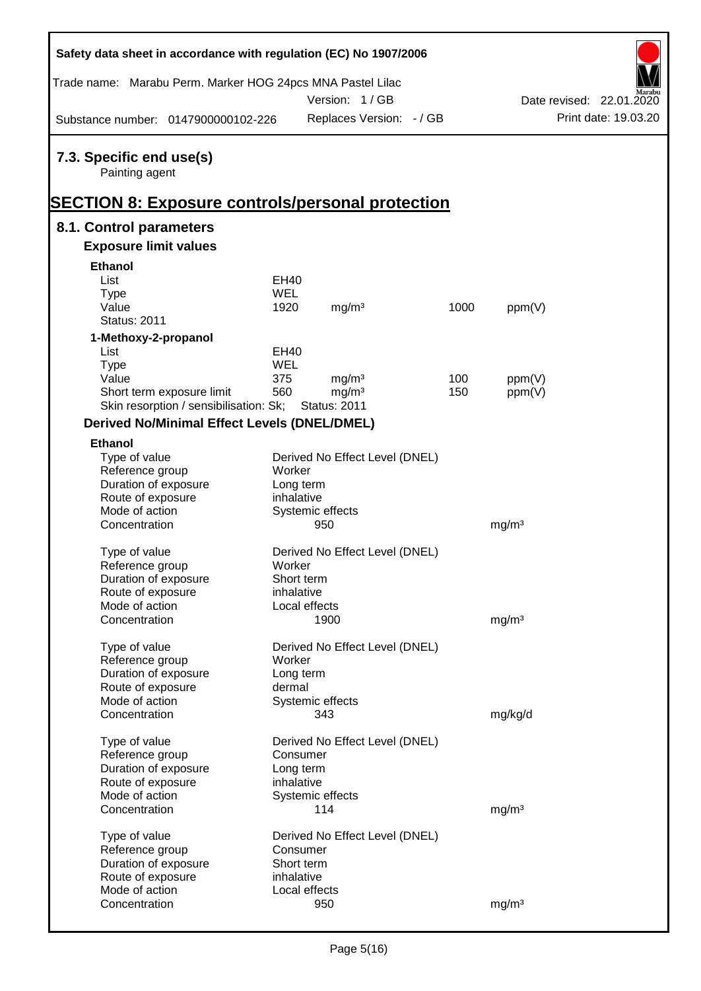| Safety data sheet in accordance with regulation (EC) No 1907/2006 |             |                                |      |                   |                          |
|-------------------------------------------------------------------|-------------|--------------------------------|------|-------------------|--------------------------|
| Trade name: Marabu Perm. Marker HOG 24pcs MNA Pastel Lilac        |             |                                |      |                   |                          |
|                                                                   |             | Version: 1/GB                  |      |                   | Date revised: 22.01.2020 |
| Substance number: 0147900000102-226                               |             | Replaces Version: - / GB       |      |                   | Print date: 19.03.20     |
| 7.3. Specific end use(s)<br>Painting agent                        |             |                                |      |                   |                          |
| <b>SECTION 8: Exposure controls/personal protection</b>           |             |                                |      |                   |                          |
| 8.1. Control parameters                                           |             |                                |      |                   |                          |
| <b>Exposure limit values</b>                                      |             |                                |      |                   |                          |
| <b>Ethanol</b>                                                    |             |                                |      |                   |                          |
| List                                                              | EH40        |                                |      |                   |                          |
| <b>Type</b>                                                       | WEL         |                                |      |                   |                          |
| Value                                                             | 1920        | mg/m <sup>3</sup>              | 1000 | ppm(V)            |                          |
| <b>Status: 2011</b>                                               |             |                                |      |                   |                          |
| 1-Methoxy-2-propanol                                              |             |                                |      |                   |                          |
| List                                                              | <b>EH40</b> |                                |      |                   |                          |
| <b>Type</b>                                                       | WEL         |                                |      |                   |                          |
| Value                                                             | 375         | mg/m <sup>3</sup>              | 100  | ppm(V)            |                          |
| Short term exposure limit                                         | 560         | mg/m <sup>3</sup>              | 150  | ppm(V)            |                          |
| Skin resorption / sensibilisation: Sk;                            |             | <b>Status: 2011</b>            |      |                   |                          |
| <b>Derived No/Minimal Effect Levels (DNEL/DMEL)</b>               |             |                                |      |                   |                          |
| <b>Ethanol</b>                                                    |             |                                |      |                   |                          |
| Type of value                                                     |             | Derived No Effect Level (DNEL) |      |                   |                          |
| Reference group                                                   | Worker      |                                |      |                   |                          |
| Duration of exposure                                              | Long term   |                                |      |                   |                          |
| Route of exposure                                                 | inhalative  |                                |      |                   |                          |
| Mode of action                                                    |             | Systemic effects               |      |                   |                          |
| Concentration                                                     |             | 950                            |      | mg/m <sup>3</sup> |                          |
| Type of value                                                     |             | Derived No Effect Level (DNEL) |      |                   |                          |
| Reference group                                                   | Worker      |                                |      |                   |                          |
| Duration of exposure                                              | Short term  |                                |      |                   |                          |
| Route of exposure                                                 | inhalative  |                                |      |                   |                          |
| Mode of action                                                    |             | Local effects                  |      |                   |                          |
| Concentration                                                     |             | 1900                           |      | mg/m <sup>3</sup> |                          |
|                                                                   |             |                                |      |                   |                          |
| Type of value                                                     |             | Derived No Effect Level (DNEL) |      |                   |                          |
| Reference group                                                   | Worker      |                                |      |                   |                          |
| Duration of exposure                                              | Long term   |                                |      |                   |                          |
| Route of exposure                                                 | dermal      |                                |      |                   |                          |
| Mode of action                                                    |             | Systemic effects               |      |                   |                          |
| Concentration                                                     |             | 343                            |      | mg/kg/d           |                          |
| Type of value                                                     |             | Derived No Effect Level (DNEL) |      |                   |                          |
| Reference group                                                   | Consumer    |                                |      |                   |                          |
| Duration of exposure                                              | Long term   |                                |      |                   |                          |
| Route of exposure                                                 | inhalative  |                                |      |                   |                          |
| Mode of action                                                    |             | Systemic effects               |      |                   |                          |
| Concentration                                                     |             | 114                            |      | mg/m <sup>3</sup> |                          |
|                                                                   |             |                                |      |                   |                          |
| Type of value                                                     |             | Derived No Effect Level (DNEL) |      |                   |                          |
| Reference group                                                   | Consumer    |                                |      |                   |                          |
| Duration of exposure                                              | Short term  |                                |      |                   |                          |
| Route of exposure<br>Mode of action                               | inhalative  | Local effects                  |      |                   |                          |
| Concentration                                                     |             | 950                            |      | mg/m <sup>3</sup> |                          |
|                                                                   |             |                                |      |                   |                          |

Ī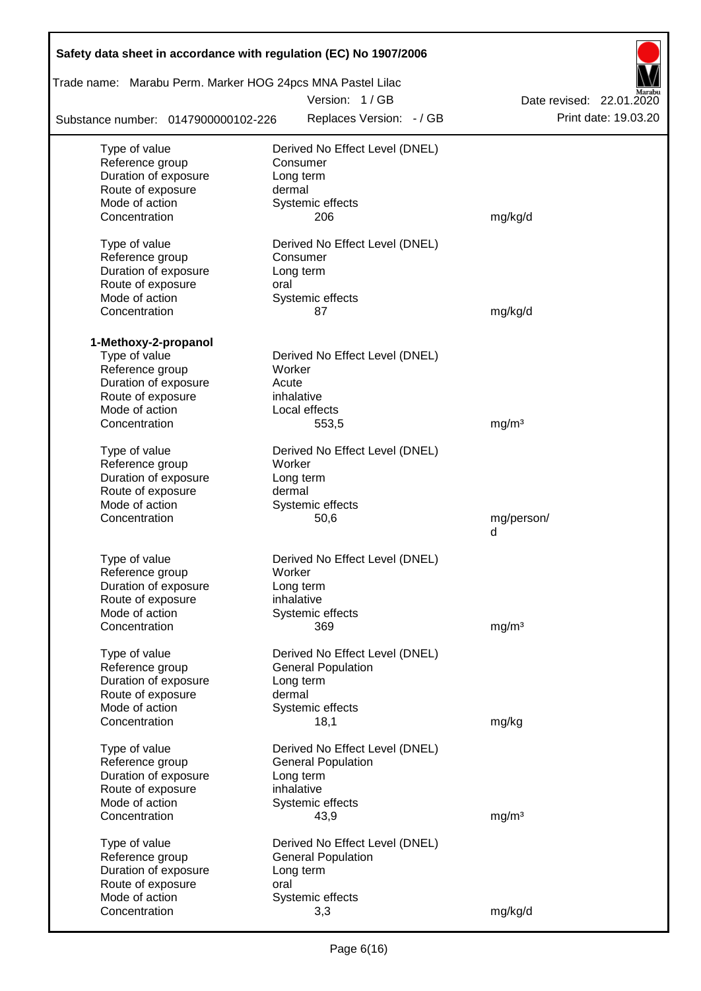| Safety data sheet in accordance with regulation (EC) No 1907/2006 |                                          |                          |
|-------------------------------------------------------------------|------------------------------------------|--------------------------|
| Trade name: Marabu Perm. Marker HOG 24pcs MNA Pastel Lilac        |                                          |                          |
|                                                                   | Version: 1/GB                            | Date revised: 22.01.2020 |
| Substance number: 0147900000102-226                               | Replaces Version: - / GB                 | Print date: 19.03.20     |
| Type of value                                                     | Derived No Effect Level (DNEL)           |                          |
| Reference group                                                   | Consumer                                 |                          |
| Duration of exposure                                              | Long term                                |                          |
| Route of exposure                                                 | dermal                                   |                          |
| Mode of action                                                    | Systemic effects                         |                          |
| Concentration                                                     | 206                                      | mg/kg/d                  |
| Type of value                                                     | Derived No Effect Level (DNEL)           |                          |
| Reference group                                                   | Consumer                                 |                          |
| Duration of exposure                                              | Long term                                |                          |
| Route of exposure                                                 | oral                                     |                          |
| Mode of action                                                    | Systemic effects                         |                          |
| Concentration                                                     | 87                                       | mg/kg/d                  |
|                                                                   |                                          |                          |
| 1-Methoxy-2-propanol                                              |                                          |                          |
| Type of value<br>Reference group                                  | Derived No Effect Level (DNEL)<br>Worker |                          |
| Duration of exposure                                              | Acute                                    |                          |
| Route of exposure                                                 | inhalative                               |                          |
| Mode of action                                                    | Local effects                            |                          |
| Concentration                                                     | 553,5                                    | mg/m <sup>3</sup>        |
|                                                                   |                                          |                          |
| Type of value                                                     | Derived No Effect Level (DNEL)           |                          |
| Reference group                                                   | Worker                                   |                          |
| Duration of exposure<br>Route of exposure                         | Long term<br>dermal                      |                          |
| Mode of action                                                    | Systemic effects                         |                          |
| Concentration                                                     | 50,6                                     | mg/person/               |
|                                                                   |                                          | d                        |
|                                                                   |                                          |                          |
| Type of value                                                     | Derived No Effect Level (DNEL)           |                          |
| Reference group                                                   | Worker                                   |                          |
| Duration of exposure                                              | Long term<br>inhalative                  |                          |
| Route of exposure<br>Mode of action                               | Systemic effects                         |                          |
| Concentration                                                     | 369                                      | mg/m <sup>3</sup>        |
|                                                                   |                                          |                          |
| Type of value                                                     | Derived No Effect Level (DNEL)           |                          |
| Reference group                                                   | <b>General Population</b>                |                          |
| Duration of exposure                                              | Long term                                |                          |
| Route of exposure                                                 | dermal                                   |                          |
| Mode of action<br>Concentration                                   | Systemic effects<br>18,1                 | mg/kg                    |
|                                                                   |                                          |                          |
| Type of value                                                     | Derived No Effect Level (DNEL)           |                          |
| Reference group                                                   | <b>General Population</b>                |                          |
| Duration of exposure                                              | Long term                                |                          |
| Route of exposure                                                 | inhalative                               |                          |
| Mode of action                                                    | Systemic effects                         |                          |
| Concentration                                                     | 43,9                                     | mg/m <sup>3</sup>        |
| Type of value                                                     | Derived No Effect Level (DNEL)           |                          |
| Reference group                                                   | <b>General Population</b>                |                          |
| Duration of exposure                                              | Long term                                |                          |
| Route of exposure                                                 | oral                                     |                          |
| Mode of action                                                    | Systemic effects                         |                          |
| Concentration                                                     | 3,3                                      | mg/kg/d                  |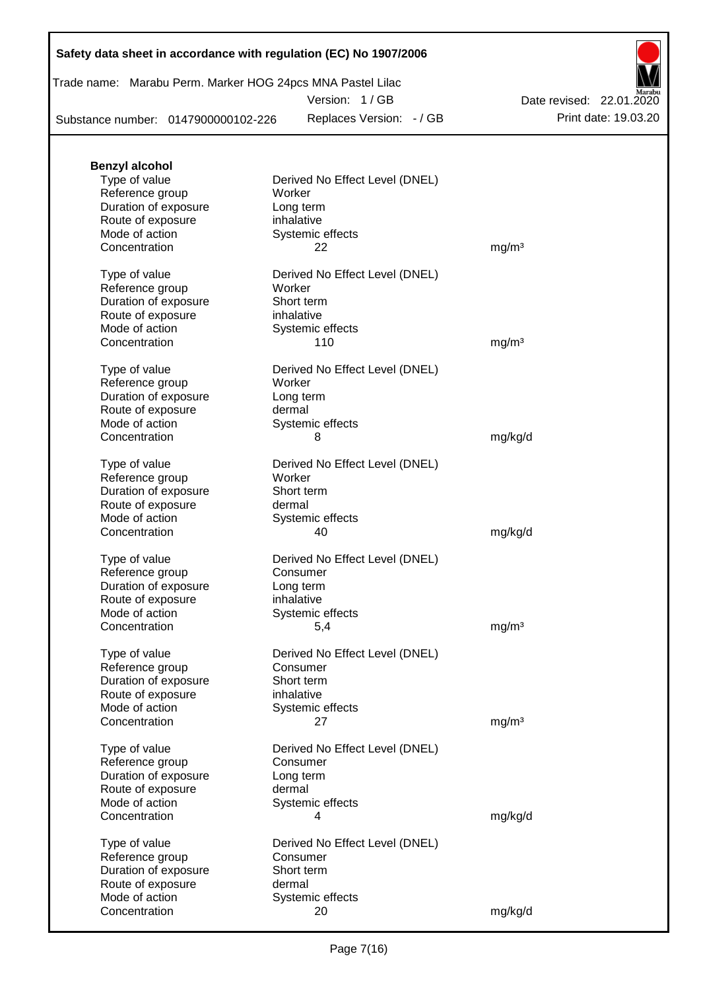# **Safety data sheet in accordance with regulation (EC) No 1907/2006**

Trade name: Marabu Perm. Marker HOG 24pcs MNA Pastel Lilac

Version: 1 / GB

Substance number: 0147900000102-226

Replaces Version: - / GB Print date: 19.03.20 Date revised: 22.01.2020

| <b>Benzyl alcohol</b> |                                |                   |
|-----------------------|--------------------------------|-------------------|
| Type of value         | Derived No Effect Level (DNEL) |                   |
| Reference group       | Worker                         |                   |
| Duration of exposure  | Long term                      |                   |
| Route of exposure     | inhalative                     |                   |
| Mode of action        | Systemic effects               |                   |
| Concentration         | 22                             | mg/m <sup>3</sup> |
|                       |                                |                   |
| Type of value         | Derived No Effect Level (DNEL) |                   |
| Reference group       | Worker                         |                   |
| Duration of exposure  | Short term                     |                   |
| Route of exposure     | inhalative                     |                   |
| Mode of action        | Systemic effects               |                   |
| Concentration         | 110                            | mg/m <sup>3</sup> |
|                       |                                |                   |
| Type of value         | Derived No Effect Level (DNEL) |                   |
| Reference group       | Worker                         |                   |
| Duration of exposure  | Long term                      |                   |
| Route of exposure     | dermal                         |                   |
| Mode of action        | Systemic effects               |                   |
| Concentration         | 8                              | mg/kg/d           |
| Type of value         | Derived No Effect Level (DNEL) |                   |
|                       | Worker                         |                   |
| Reference group       |                                |                   |
| Duration of exposure  | Short term                     |                   |
| Route of exposure     | dermal                         |                   |
| Mode of action        | Systemic effects               |                   |
| Concentration         | 40                             | mg/kg/d           |
| Type of value         | Derived No Effect Level (DNEL) |                   |
| Reference group       | Consumer                       |                   |
| Duration of exposure  | Long term                      |                   |
| Route of exposure     | inhalative                     |                   |
| Mode of action        |                                |                   |
|                       | Systemic effects               |                   |
| Concentration         | 5,4                            | mg/m <sup>3</sup> |
| Type of value         | Derived No Effect Level (DNEL) |                   |
| Reference group       | Consumer                       |                   |
| Duration of exposure  | Short term                     |                   |
| Route of exposure     | inhalative                     |                   |
| Mode of action        | Systemic effects               |                   |
| Concentration         | 27                             | mg/m <sup>3</sup> |
|                       |                                |                   |
| Type of value         | Derived No Effect Level (DNEL) |                   |
| Reference group       | Consumer                       |                   |
| Duration of exposure  | Long term                      |                   |
| Route of exposure     | dermal                         |                   |
| Mode of action        | Systemic effects               |                   |
| Concentration         | 4                              | mg/kg/d           |
| Type of value         | Derived No Effect Level (DNEL) |                   |
|                       | Consumer                       |                   |
| Reference group       |                                |                   |
| Duration of exposure  | Short term                     |                   |
| Route of exposure     | dermal                         |                   |
| Mode of action        | Systemic effects               |                   |
| Concentration         | 20                             | mg/kg/d           |
|                       |                                |                   |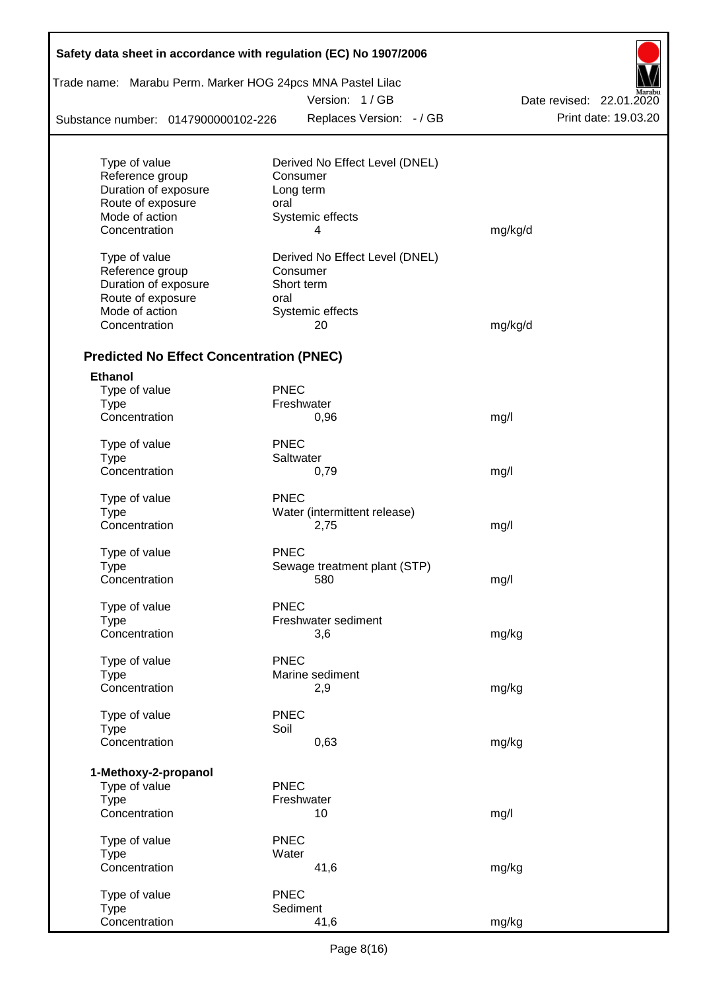| Trade name: Marabu Perm. Marker HOG 24pcs MNA Pastel Lilac |             |                                |                          |
|------------------------------------------------------------|-------------|--------------------------------|--------------------------|
|                                                            |             | Version: 1/GB                  | Date revised: 22.01.2020 |
| Substance number: 0147900000102-226                        |             | Replaces Version: - / GB       | Print date: 19.03.20     |
|                                                            |             |                                |                          |
| Type of value                                              |             | Derived No Effect Level (DNEL) |                          |
| Reference group                                            |             | Consumer                       |                          |
| Duration of exposure                                       |             | Long term                      |                          |
| Route of exposure                                          | oral        |                                |                          |
| Mode of action                                             |             | Systemic effects               |                          |
| Concentration                                              |             | 4                              | mg/kg/d                  |
| Type of value                                              |             | Derived No Effect Level (DNEL) |                          |
| Reference group                                            |             | Consumer                       |                          |
| Duration of exposure                                       |             | Short term                     |                          |
| Route of exposure                                          | oral        |                                |                          |
| Mode of action                                             |             | Systemic effects               |                          |
| Concentration                                              |             | 20                             | mg/kg/d                  |
| <b>Predicted No Effect Concentration (PNEC)</b>            |             |                                |                          |
| <b>Ethanol</b>                                             |             |                                |                          |
| Type of value                                              | <b>PNEC</b> |                                |                          |
| <b>Type</b>                                                |             | Freshwater                     |                          |
| Concentration                                              |             | 0,96                           | mg/l                     |
| Type of value                                              | <b>PNEC</b> |                                |                          |
| <b>Type</b>                                                |             | Saltwater                      |                          |
| Concentration                                              |             | 0,79                           | mg/l                     |
| Type of value                                              | <b>PNEC</b> |                                |                          |
| Type                                                       |             | Water (intermittent release)   |                          |
| Concentration                                              |             | 2,75                           | mg/l                     |
| Type of value                                              | <b>PNEC</b> |                                |                          |
| Type                                                       |             | Sewage treatment plant (STP)   |                          |
| Concentration                                              |             | 580                            | mg/l                     |
| Type of value                                              | <b>PNEC</b> |                                |                          |
| <b>Type</b>                                                |             | Freshwater sediment            |                          |
| Concentration                                              |             | 3,6                            | mg/kg                    |
| Type of value                                              | <b>PNEC</b> |                                |                          |
| <b>Type</b>                                                |             | Marine sediment                |                          |
| Concentration                                              |             | 2,9                            | mg/kg                    |
| Type of value                                              | <b>PNEC</b> |                                |                          |
| <b>Type</b>                                                | Soil        |                                |                          |
| Concentration                                              |             | 0,63                           | mg/kg                    |
|                                                            |             |                                |                          |
| 1-Methoxy-2-propanol<br>Type of value                      | <b>PNEC</b> |                                |                          |
| <b>Type</b>                                                |             | Freshwater                     |                          |
| Concentration                                              |             | 10                             | mg/l                     |
| Type of value                                              | <b>PNEC</b> |                                |                          |
| <b>Type</b>                                                | Water       |                                |                          |
| Concentration                                              |             | 41,6                           | mg/kg                    |
| Type of value                                              | <b>PNEC</b> |                                |                          |
| <b>Type</b>                                                |             | Sediment                       |                          |
| Concentration                                              |             | 41,6                           | mg/kg                    |

Г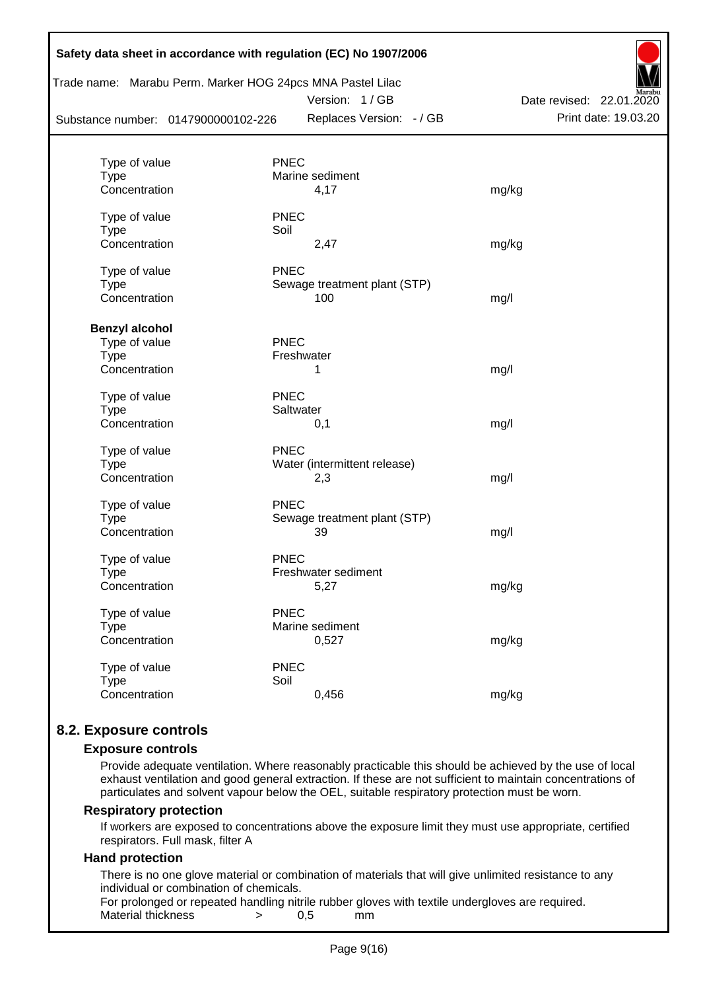| Substance number: 0147900000102-226 | Trade name: Marabu Perm. Marker HOG 24pcs MNA Pastel Lilac<br>Version: 1/GB<br>Replaces Version: - / GB | Date revised: 22.01.2020<br>Print date: 19.03.20 |
|-------------------------------------|---------------------------------------------------------------------------------------------------------|--------------------------------------------------|
| Type of value                       | <b>PNEC</b>                                                                                             |                                                  |
| <b>Type</b>                         | Marine sediment                                                                                         |                                                  |
| Concentration                       | 4,17                                                                                                    | mg/kg                                            |
| Type of value                       | <b>PNEC</b>                                                                                             |                                                  |
| <b>Type</b>                         | Soil                                                                                                    |                                                  |
| Concentration                       | 2,47                                                                                                    | mg/kg                                            |
| Type of value                       | <b>PNEC</b>                                                                                             |                                                  |
| <b>Type</b>                         | Sewage treatment plant (STP)                                                                            |                                                  |
| Concentration                       | 100                                                                                                     | mg/l                                             |
| <b>Benzyl alcohol</b>               |                                                                                                         |                                                  |
| Type of value                       | <b>PNEC</b>                                                                                             |                                                  |
| <b>Type</b>                         | Freshwater                                                                                              |                                                  |
| Concentration                       | 1                                                                                                       | mg/l                                             |
| Type of value                       | <b>PNEC</b>                                                                                             |                                                  |
| Type                                | Saltwater                                                                                               |                                                  |
| Concentration                       | 0,1                                                                                                     | mg/l                                             |
| Type of value                       | <b>PNEC</b>                                                                                             |                                                  |
| <b>Type</b>                         | Water (intermittent release)                                                                            |                                                  |
| Concentration                       | 2,3                                                                                                     | mg/l                                             |
| Type of value                       | <b>PNEC</b>                                                                                             |                                                  |
| <b>Type</b>                         | Sewage treatment plant (STP)                                                                            |                                                  |
| Concentration                       | 39                                                                                                      | mg/l                                             |
| Type of value                       | <b>PNEC</b>                                                                                             |                                                  |
| Type                                | Freshwater sediment                                                                                     |                                                  |
| Concentration                       | 5,27                                                                                                    | mg/kg                                            |
| Type of value                       | <b>PNEC</b>                                                                                             |                                                  |
| <b>Type</b>                         | Marine sediment                                                                                         |                                                  |
| Concentration                       | 0,527                                                                                                   | mg/kg                                            |
| Type of value                       | <b>PNEC</b>                                                                                             |                                                  |
| <b>Type</b>                         | Soil                                                                                                    |                                                  |
| Concentration                       | 0,456                                                                                                   | mg/kg                                            |

# **8.2. Exposure controls**

#### **Exposure controls**

Provide adequate ventilation. Where reasonably practicable this should be achieved by the use of local exhaust ventilation and good general extraction. If these are not sufficient to maintain concentrations of particulates and solvent vapour below the OEL, suitable respiratory protection must be worn.

#### **Respiratory protection**

If workers are exposed to concentrations above the exposure limit they must use appropriate, certified respirators. Full mask, filter A

# **Hand protection**

There is no one glove material or combination of materials that will give unlimited resistance to any individual or combination of chemicals.

For prolonged or repeated handling nitrile rubber gloves with textile undergloves are required. Material thickness  $\rightarrow$  0.5 mm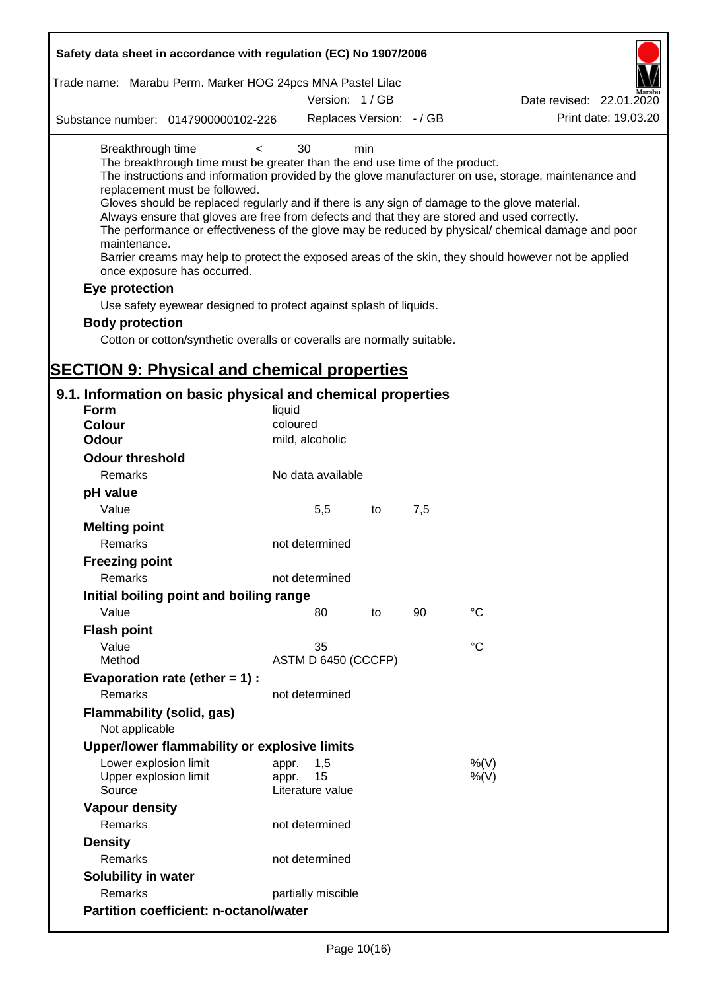| Safety data sheet in accordance with regulation (EC) No 1907/2006                                                                                                                                                                                                                                                                                                                            |                                                 |     |     |                                                                                                                                                                                                                                                                                                                    |
|----------------------------------------------------------------------------------------------------------------------------------------------------------------------------------------------------------------------------------------------------------------------------------------------------------------------------------------------------------------------------------------------|-------------------------------------------------|-----|-----|--------------------------------------------------------------------------------------------------------------------------------------------------------------------------------------------------------------------------------------------------------------------------------------------------------------------|
| Trade name: Marabu Perm. Marker HOG 24pcs MNA Pastel Lilac                                                                                                                                                                                                                                                                                                                                   |                                                 |     |     |                                                                                                                                                                                                                                                                                                                    |
|                                                                                                                                                                                                                                                                                                                                                                                              | Version: 1/GB                                   |     |     | Date revised: 22.01.2020                                                                                                                                                                                                                                                                                           |
| Substance number: 0147900000102-226                                                                                                                                                                                                                                                                                                                                                          | Replaces Version: - / GB                        |     |     | Print date: 19.03.20                                                                                                                                                                                                                                                                                               |
| Breakthrough time<br>$\,<\,$<br>The breakthrough time must be greater than the end use time of the product.<br>replacement must be followed.<br>Gloves should be replaced regularly and if there is any sign of damage to the glove material.<br>Always ensure that gloves are free from defects and that they are stored and used correctly.<br>maintenance.<br>once exposure has occurred. | 30                                              | min |     | The instructions and information provided by the glove manufacturer on use, storage, maintenance and<br>The performance or effectiveness of the glove may be reduced by physical/ chemical damage and poor<br>Barrier creams may help to protect the exposed areas of the skin, they should however not be applied |
| Eye protection                                                                                                                                                                                                                                                                                                                                                                               |                                                 |     |     |                                                                                                                                                                                                                                                                                                                    |
| Use safety eyewear designed to protect against splash of liquids.                                                                                                                                                                                                                                                                                                                            |                                                 |     |     |                                                                                                                                                                                                                                                                                                                    |
| <b>Body protection</b>                                                                                                                                                                                                                                                                                                                                                                       |                                                 |     |     |                                                                                                                                                                                                                                                                                                                    |
| Cotton or cotton/synthetic overalls or coveralls are normally suitable.                                                                                                                                                                                                                                                                                                                      |                                                 |     |     |                                                                                                                                                                                                                                                                                                                    |
|                                                                                                                                                                                                                                                                                                                                                                                              |                                                 |     |     |                                                                                                                                                                                                                                                                                                                    |
| <b>SECTION 9: Physical and chemical properties</b>                                                                                                                                                                                                                                                                                                                                           |                                                 |     |     |                                                                                                                                                                                                                                                                                                                    |
| 9.1. Information on basic physical and chemical properties                                                                                                                                                                                                                                                                                                                                   |                                                 |     |     |                                                                                                                                                                                                                                                                                                                    |
| <b>Form</b>                                                                                                                                                                                                                                                                                                                                                                                  | liquid                                          |     |     |                                                                                                                                                                                                                                                                                                                    |
| <b>Colour</b>                                                                                                                                                                                                                                                                                                                                                                                | coloured                                        |     |     |                                                                                                                                                                                                                                                                                                                    |
| <b>Odour</b>                                                                                                                                                                                                                                                                                                                                                                                 | mild, alcoholic                                 |     |     |                                                                                                                                                                                                                                                                                                                    |
| <b>Odour threshold</b>                                                                                                                                                                                                                                                                                                                                                                       |                                                 |     |     |                                                                                                                                                                                                                                                                                                                    |
| Remarks                                                                                                                                                                                                                                                                                                                                                                                      | No data available                               |     |     |                                                                                                                                                                                                                                                                                                                    |
| pH value                                                                                                                                                                                                                                                                                                                                                                                     |                                                 |     |     |                                                                                                                                                                                                                                                                                                                    |
| Value                                                                                                                                                                                                                                                                                                                                                                                        | 5,5                                             | to  | 7,5 |                                                                                                                                                                                                                                                                                                                    |
| <b>Melting point</b><br>Remarks                                                                                                                                                                                                                                                                                                                                                              | not determined                                  |     |     |                                                                                                                                                                                                                                                                                                                    |
| <b>Freezing point</b>                                                                                                                                                                                                                                                                                                                                                                        |                                                 |     |     |                                                                                                                                                                                                                                                                                                                    |
| Remarks                                                                                                                                                                                                                                                                                                                                                                                      | not determined                                  |     |     |                                                                                                                                                                                                                                                                                                                    |
| Initial boiling point and boiling range                                                                                                                                                                                                                                                                                                                                                      |                                                 |     |     |                                                                                                                                                                                                                                                                                                                    |
| Value                                                                                                                                                                                                                                                                                                                                                                                        | 80                                              | to  | 90  | $^{\circ}C$                                                                                                                                                                                                                                                                                                        |
| <b>Flash point</b>                                                                                                                                                                                                                                                                                                                                                                           |                                                 |     |     |                                                                                                                                                                                                                                                                                                                    |
| Value                                                                                                                                                                                                                                                                                                                                                                                        | 35                                              |     |     | °C                                                                                                                                                                                                                                                                                                                 |
| Method                                                                                                                                                                                                                                                                                                                                                                                       | ASTM D 6450 (CCCFP)                             |     |     |                                                                                                                                                                                                                                                                                                                    |
| Evaporation rate (ether $= 1$ ) :                                                                                                                                                                                                                                                                                                                                                            |                                                 |     |     |                                                                                                                                                                                                                                                                                                                    |
| Remarks                                                                                                                                                                                                                                                                                                                                                                                      | not determined                                  |     |     |                                                                                                                                                                                                                                                                                                                    |
| <b>Flammability (solid, gas)</b><br>Not applicable                                                                                                                                                                                                                                                                                                                                           |                                                 |     |     |                                                                                                                                                                                                                                                                                                                    |
| Upper/lower flammability or explosive limits                                                                                                                                                                                                                                                                                                                                                 |                                                 |     |     |                                                                                                                                                                                                                                                                                                                    |
| Lower explosion limit<br>Upper explosion limit<br>Source                                                                                                                                                                                                                                                                                                                                     | 1,5<br>appr.<br>15<br>appr.<br>Literature value |     |     | %(V)<br>$%$ (V)                                                                                                                                                                                                                                                                                                    |
| <b>Vapour density</b>                                                                                                                                                                                                                                                                                                                                                                        |                                                 |     |     |                                                                                                                                                                                                                                                                                                                    |
| Remarks                                                                                                                                                                                                                                                                                                                                                                                      | not determined                                  |     |     |                                                                                                                                                                                                                                                                                                                    |
| <b>Density</b>                                                                                                                                                                                                                                                                                                                                                                               |                                                 |     |     |                                                                                                                                                                                                                                                                                                                    |
| Remarks                                                                                                                                                                                                                                                                                                                                                                                      | not determined                                  |     |     |                                                                                                                                                                                                                                                                                                                    |
| Solubility in water                                                                                                                                                                                                                                                                                                                                                                          |                                                 |     |     |                                                                                                                                                                                                                                                                                                                    |
| Remarks                                                                                                                                                                                                                                                                                                                                                                                      | partially miscible                              |     |     |                                                                                                                                                                                                                                                                                                                    |
| <b>Partition coefficient: n-octanol/water</b>                                                                                                                                                                                                                                                                                                                                                |                                                 |     |     |                                                                                                                                                                                                                                                                                                                    |
|                                                                                                                                                                                                                                                                                                                                                                                              |                                                 |     |     |                                                                                                                                                                                                                                                                                                                    |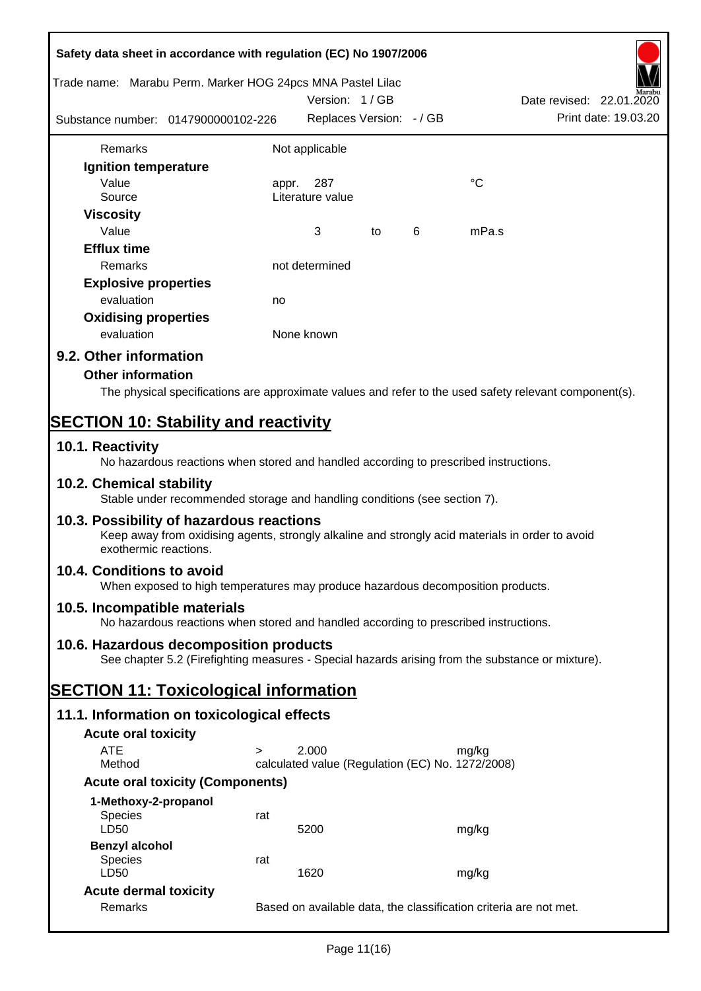| Safety data sheet in accordance with regulation (EC) No 1907/2006                                                                                                     |                                                                                 |                                                           |    |   |                                                                                                        |  |  |  |
|-----------------------------------------------------------------------------------------------------------------------------------------------------------------------|---------------------------------------------------------------------------------|-----------------------------------------------------------|----|---|--------------------------------------------------------------------------------------------------------|--|--|--|
| Trade name: Marabu Perm. Marker HOG 24pcs MNA Pastel Lilac                                                                                                            |                                                                                 | Version: 1/GB                                             |    |   | Date revised: 22.01.2020                                                                               |  |  |  |
| Substance number: 0147900000102-226                                                                                                                                   |                                                                                 | Replaces Version: - / GB                                  |    |   | Print date: 19.03.20                                                                                   |  |  |  |
| Remarks                                                                                                                                                               |                                                                                 | Not applicable                                            |    |   |                                                                                                        |  |  |  |
| Ignition temperature                                                                                                                                                  |                                                                                 |                                                           |    |   |                                                                                                        |  |  |  |
| Value                                                                                                                                                                 |                                                                                 | 287<br>appr.                                              |    |   | $^{\circ}C$                                                                                            |  |  |  |
| Source                                                                                                                                                                |                                                                                 | Literature value                                          |    |   |                                                                                                        |  |  |  |
| <b>Viscosity</b>                                                                                                                                                      |                                                                                 |                                                           |    |   |                                                                                                        |  |  |  |
| Value                                                                                                                                                                 |                                                                                 | 3                                                         | to | 6 | mPa.s                                                                                                  |  |  |  |
| <b>Efflux time</b>                                                                                                                                                    |                                                                                 |                                                           |    |   |                                                                                                        |  |  |  |
| Remarks                                                                                                                                                               |                                                                                 | not determined                                            |    |   |                                                                                                        |  |  |  |
| <b>Explosive properties</b>                                                                                                                                           |                                                                                 |                                                           |    |   |                                                                                                        |  |  |  |
| evaluation                                                                                                                                                            | no                                                                              |                                                           |    |   |                                                                                                        |  |  |  |
| <b>Oxidising properties</b>                                                                                                                                           |                                                                                 |                                                           |    |   |                                                                                                        |  |  |  |
| evaluation                                                                                                                                                            |                                                                                 | None known                                                |    |   |                                                                                                        |  |  |  |
| 9.2. Other information                                                                                                                                                |                                                                                 |                                                           |    |   |                                                                                                        |  |  |  |
| <b>Other information</b>                                                                                                                                              |                                                                                 |                                                           |    |   |                                                                                                        |  |  |  |
|                                                                                                                                                                       |                                                                                 |                                                           |    |   | The physical specifications are approximate values and refer to the used safety relevant component(s). |  |  |  |
|                                                                                                                                                                       |                                                                                 |                                                           |    |   |                                                                                                        |  |  |  |
| <b>SECTION 10: Stability and reactivity</b>                                                                                                                           |                                                                                 |                                                           |    |   |                                                                                                        |  |  |  |
| 10.1. Reactivity<br>No hazardous reactions when stored and handled according to prescribed instructions.                                                              |                                                                                 |                                                           |    |   |                                                                                                        |  |  |  |
| 10.2. Chemical stability<br>Stable under recommended storage and handling conditions (see section 7).                                                                 |                                                                                 |                                                           |    |   |                                                                                                        |  |  |  |
| 10.3. Possibility of hazardous reactions<br>Keep away from oxidising agents, strongly alkaline and strongly acid materials in order to avoid<br>exothermic reactions. |                                                                                 |                                                           |    |   |                                                                                                        |  |  |  |
| 10.4. Conditions to avoid                                                                                                                                             | When exposed to high temperatures may produce hazardous decomposition products. |                                                           |    |   |                                                                                                        |  |  |  |
| 10.5. Incompatible materials<br>No hazardous reactions when stored and handled according to prescribed instructions.                                                  |                                                                                 |                                                           |    |   |                                                                                                        |  |  |  |
| 10.6. Hazardous decomposition products                                                                                                                                |                                                                                 |                                                           |    |   |                                                                                                        |  |  |  |
|                                                                                                                                                                       |                                                                                 |                                                           |    |   | See chapter 5.2 (Firefighting measures - Special hazards arising from the substance or mixture).       |  |  |  |
| <b>SECTION 11: Toxicological information</b>                                                                                                                          |                                                                                 |                                                           |    |   |                                                                                                        |  |  |  |
|                                                                                                                                                                       |                                                                                 |                                                           |    |   |                                                                                                        |  |  |  |
| 11.1. Information on toxicological effects                                                                                                                            |                                                                                 |                                                           |    |   |                                                                                                        |  |  |  |
| <b>Acute oral toxicity</b>                                                                                                                                            |                                                                                 |                                                           |    |   |                                                                                                        |  |  |  |
| <b>ATE</b><br>Method                                                                                                                                                  | $\geq$                                                                          | 2.000<br>calculated value (Regulation (EC) No. 1272/2008) |    |   | mg/kg                                                                                                  |  |  |  |
|                                                                                                                                                                       |                                                                                 |                                                           |    |   |                                                                                                        |  |  |  |
| <b>Acute oral toxicity (Components)</b>                                                                                                                               |                                                                                 |                                                           |    |   |                                                                                                        |  |  |  |
| 1-Methoxy-2-propanol                                                                                                                                                  |                                                                                 |                                                           |    |   |                                                                                                        |  |  |  |
| <b>Species</b><br>LD50                                                                                                                                                | rat                                                                             | 5200                                                      |    |   | mg/kg                                                                                                  |  |  |  |
| <b>Benzyl alcohol</b>                                                                                                                                                 |                                                                                 |                                                           |    |   |                                                                                                        |  |  |  |
| Species                                                                                                                                                               | rat                                                                             |                                                           |    |   |                                                                                                        |  |  |  |
| LD50                                                                                                                                                                  |                                                                                 | 1620                                                      |    |   | mg/kg                                                                                                  |  |  |  |
| <b>Acute dermal toxicity</b>                                                                                                                                          |                                                                                 |                                                           |    |   |                                                                                                        |  |  |  |
| Remarks                                                                                                                                                               | Based on available data, the classification criteria are not met.               |                                                           |    |   |                                                                                                        |  |  |  |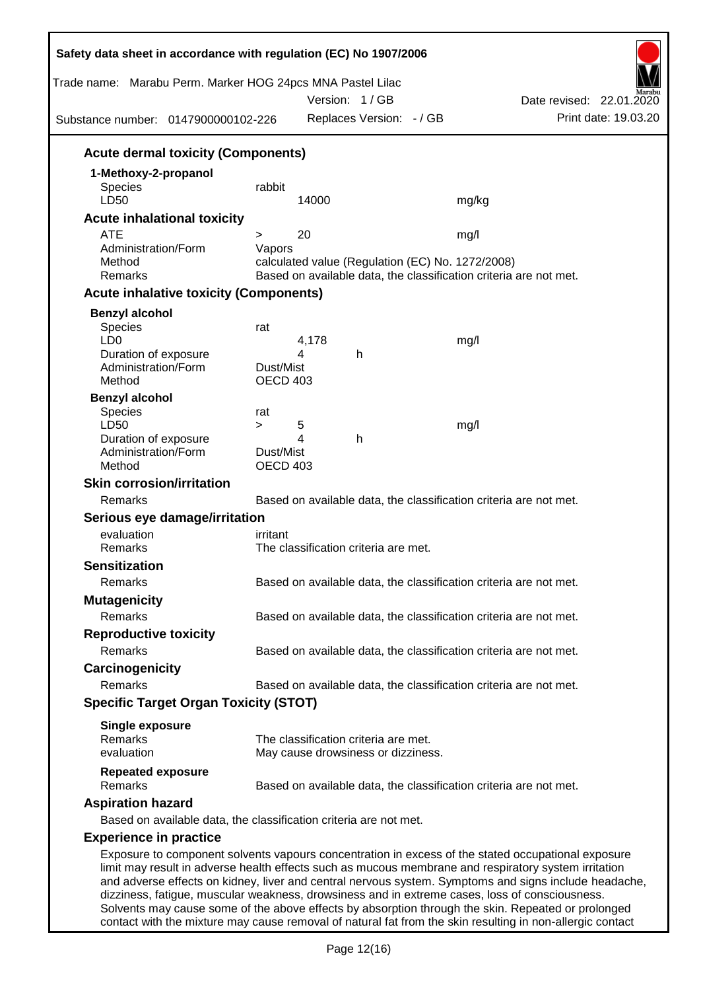| Trade name: Marabu Perm. Marker HOG 24pcs MNA Pastel Lilac<br>Substance number: 0147900000102-226                                                                                                          |                       |            | Version: 1/GB<br>Replaces Version: - / GB |                                                                   | Date revised: 22.01.2020<br>Print date: 19.03.20                                                      |
|------------------------------------------------------------------------------------------------------------------------------------------------------------------------------------------------------------|-----------------------|------------|-------------------------------------------|-------------------------------------------------------------------|-------------------------------------------------------------------------------------------------------|
| <b>Acute dermal toxicity (Components)</b>                                                                                                                                                                  |                       |            |                                           |                                                                   |                                                                                                       |
| 1-Methoxy-2-propanol                                                                                                                                                                                       |                       |            |                                           |                                                                   |                                                                                                       |
| <b>Species</b>                                                                                                                                                                                             | rabbit                |            |                                           |                                                                   |                                                                                                       |
| LD50                                                                                                                                                                                                       |                       | 14000      |                                           | mg/kg                                                             |                                                                                                       |
| <b>Acute inhalational toxicity</b>                                                                                                                                                                         |                       |            |                                           |                                                                   |                                                                                                       |
| <b>ATE</b>                                                                                                                                                                                                 | $\geq$                | 20         |                                           | mg/l                                                              |                                                                                                       |
| Administration/Form                                                                                                                                                                                        | Vapors                |            |                                           |                                                                   |                                                                                                       |
| Method                                                                                                                                                                                                     |                       |            |                                           | calculated value (Regulation (EC) No. 1272/2008)                  |                                                                                                       |
| Remarks                                                                                                                                                                                                    |                       |            |                                           | Based on available data, the classification criteria are not met. |                                                                                                       |
| <b>Acute inhalative toxicity (Components)</b>                                                                                                                                                              |                       |            |                                           |                                                                   |                                                                                                       |
| <b>Benzyl alcohol</b>                                                                                                                                                                                      |                       |            |                                           |                                                                   |                                                                                                       |
| Species                                                                                                                                                                                                    | rat                   |            |                                           |                                                                   |                                                                                                       |
| LD <sub>0</sub>                                                                                                                                                                                            |                       | 4,178<br>4 | h                                         | mg/l                                                              |                                                                                                       |
| Duration of exposure<br>Administration/Form                                                                                                                                                                | Dust/Mist             |            |                                           |                                                                   |                                                                                                       |
| Method                                                                                                                                                                                                     | OECD 403              |            |                                           |                                                                   |                                                                                                       |
| <b>Benzyl alcohol</b>                                                                                                                                                                                      |                       |            |                                           |                                                                   |                                                                                                       |
| Species                                                                                                                                                                                                    | rat                   |            |                                           |                                                                   |                                                                                                       |
| LD50                                                                                                                                                                                                       | $\geq$                | 5          |                                           | mg/l                                                              |                                                                                                       |
| Duration of exposure                                                                                                                                                                                       |                       | 4          | h                                         |                                                                   |                                                                                                       |
| Administration/Form<br>Method                                                                                                                                                                              | Dust/Mist<br>OECD 403 |            |                                           |                                                                   |                                                                                                       |
| <b>Skin corrosion/irritation</b>                                                                                                                                                                           |                       |            |                                           |                                                                   |                                                                                                       |
| Remarks                                                                                                                                                                                                    |                       |            |                                           | Based on available data, the classification criteria are not met. |                                                                                                       |
|                                                                                                                                                                                                            |                       |            |                                           |                                                                   |                                                                                                       |
| Serious eye damage/irritation<br>evaluation                                                                                                                                                                | irritant              |            |                                           |                                                                   |                                                                                                       |
| Remarks                                                                                                                                                                                                    |                       |            | The classification criteria are met.      |                                                                   |                                                                                                       |
| <b>Sensitization</b>                                                                                                                                                                                       |                       |            |                                           |                                                                   |                                                                                                       |
| Remarks                                                                                                                                                                                                    |                       |            |                                           | Based on available data, the classification criteria are not met. |                                                                                                       |
|                                                                                                                                                                                                            |                       |            |                                           |                                                                   |                                                                                                       |
| <b>Mutagenicity</b><br>Remarks                                                                                                                                                                             |                       |            |                                           |                                                                   |                                                                                                       |
|                                                                                                                                                                                                            |                       |            |                                           | Based on available data, the classification criteria are not met. |                                                                                                       |
| <b>Reproductive toxicity</b>                                                                                                                                                                               |                       |            |                                           |                                                                   |                                                                                                       |
| Remarks                                                                                                                                                                                                    |                       |            |                                           | Based on available data, the classification criteria are not met. |                                                                                                       |
| Carcinogenicity                                                                                                                                                                                            |                       |            |                                           |                                                                   |                                                                                                       |
| Remarks                                                                                                                                                                                                    |                       |            |                                           | Based on available data, the classification criteria are not met. |                                                                                                       |
| <b>Specific Target Organ Toxicity (STOT)</b>                                                                                                                                                               |                       |            |                                           |                                                                   |                                                                                                       |
| <b>Single exposure</b>                                                                                                                                                                                     |                       |            |                                           |                                                                   |                                                                                                       |
| Remarks                                                                                                                                                                                                    |                       |            | The classification criteria are met.      |                                                                   |                                                                                                       |
| evaluation                                                                                                                                                                                                 |                       |            | May cause drowsiness or dizziness.        |                                                                   |                                                                                                       |
| <b>Repeated exposure</b><br>Remarks                                                                                                                                                                        |                       |            |                                           | Based on available data, the classification criteria are not met. |                                                                                                       |
| <b>Aspiration hazard</b>                                                                                                                                                                                   |                       |            |                                           |                                                                   |                                                                                                       |
| Based on available data, the classification criteria are not met.                                                                                                                                          |                       |            |                                           |                                                                   |                                                                                                       |
| <b>Experience in practice</b>                                                                                                                                                                              |                       |            |                                           |                                                                   |                                                                                                       |
| Exposure to component solvents vapours concentration in excess of the stated occupational exposure<br>limit may result in adverse health effects such as mucous membrane and respiratory system irritation |                       |            |                                           |                                                                   | and adverse effects on kidney, liver and central nervous system. Symptoms and signs include headache, |

dizziness, fatigue, muscular weakness, drowsiness and in extreme cases, loss of consciousness. Solvents may cause some of the above effects by absorption through the skin. Repeated or prolonged contact with the mixture may cause removal of natural fat from the skin resulting in non-allergic contact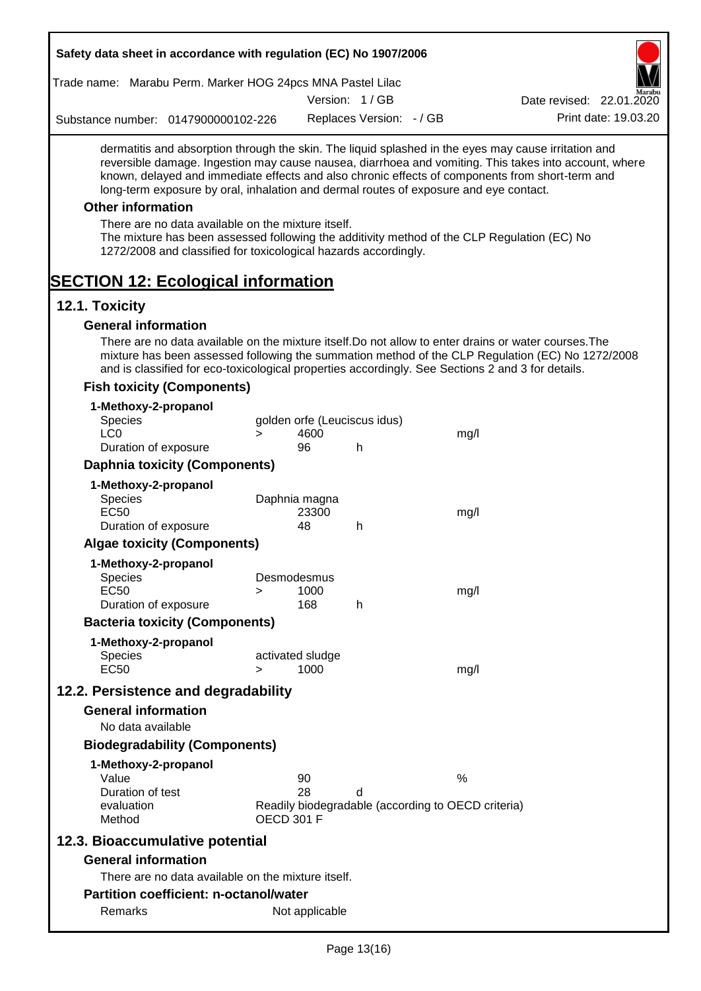|                               |                          | Safety data sheet in accordance with regulation (EC) No 1907/2006                                                     |                                                                         |                              |                              |                                                                                                   |                                                                                                                                                                                                                                                                                                                  |
|-------------------------------|--------------------------|-----------------------------------------------------------------------------------------------------------------------|-------------------------------------------------------------------------|------------------------------|------------------------------|---------------------------------------------------------------------------------------------------|------------------------------------------------------------------------------------------------------------------------------------------------------------------------------------------------------------------------------------------------------------------------------------------------------------------|
|                               |                          | Trade name: Marabu Perm. Marker HOG 24pcs MNA Pastel Lilac                                                            |                                                                         |                              |                              |                                                                                                   |                                                                                                                                                                                                                                                                                                                  |
|                               |                          |                                                                                                                       |                                                                         |                              | Version: 1/GB                |                                                                                                   | Date revised: 22.01.2020                                                                                                                                                                                                                                                                                         |
|                               |                          | Substance number: 0147900000102-226                                                                                   |                                                                         |                              | Replaces Version: - / GB     |                                                                                                   | Print date: 19.03.20                                                                                                                                                                                                                                                                                             |
|                               |                          |                                                                                                                       |                                                                         |                              |                              | long-term exposure by oral, inhalation and dermal routes of exposure and eye contact.             | dermatitis and absorption through the skin. The liquid splashed in the eyes may cause irritation and<br>reversible damage. Ingestion may cause nausea, diarrhoea and vomiting. This takes into account, where<br>known, delayed and immediate effects and also chronic effects of components from short-term and |
|                               | <b>Other information</b> |                                                                                                                       |                                                                         |                              |                              |                                                                                                   |                                                                                                                                                                                                                                                                                                                  |
|                               |                          | There are no data available on the mixture itself.<br>1272/2008 and classified for toxicological hazards accordingly. |                                                                         |                              |                              |                                                                                                   | The mixture has been assessed following the additivity method of the CLP Regulation (EC) No                                                                                                                                                                                                                      |
| 12.1. Toxicity                |                          | <b>SECTION 12: Ecological information</b>                                                                             |                                                                         |                              |                              |                                                                                                   |                                                                                                                                                                                                                                                                                                                  |
|                               |                          | <b>General information</b>                                                                                            |                                                                         |                              |                              |                                                                                                   |                                                                                                                                                                                                                                                                                                                  |
|                               |                          |                                                                                                                       |                                                                         |                              |                              | and is classified for eco-toxicological properties accordingly. See Sections 2 and 3 for details. | There are no data available on the mixture itself. Do not allow to enter drains or water courses. The<br>mixture has been assessed following the summation method of the CLP Regulation (EC) No 1272/2008                                                                                                        |
|                               |                          | <b>Fish toxicity (Components)</b>                                                                                     |                                                                         |                              |                              |                                                                                                   |                                                                                                                                                                                                                                                                                                                  |
|                               |                          | 1-Methoxy-2-propanol                                                                                                  |                                                                         |                              |                              |                                                                                                   |                                                                                                                                                                                                                                                                                                                  |
| <b>Species</b>                |                          |                                                                                                                       |                                                                         |                              | golden orfe (Leuciscus idus) |                                                                                                   |                                                                                                                                                                                                                                                                                                                  |
| LC <sub>0</sub>               |                          |                                                                                                                       | $\geq$                                                                  | 4600                         |                              | mg/l                                                                                              |                                                                                                                                                                                                                                                                                                                  |
|                               |                          | Duration of exposure                                                                                                  |                                                                         | 96                           | h                            |                                                                                                   |                                                                                                                                                                                                                                                                                                                  |
|                               |                          | <b>Daphnia toxicity (Components)</b>                                                                                  |                                                                         |                              |                              |                                                                                                   |                                                                                                                                                                                                                                                                                                                  |
| <b>Species</b><br><b>EC50</b> |                          | 1-Methoxy-2-propanol<br>Duration of exposure                                                                          |                                                                         | Daphnia magna<br>23300<br>48 | h                            | mg/l                                                                                              |                                                                                                                                                                                                                                                                                                                  |
|                               |                          | <b>Algae toxicity (Components)</b>                                                                                    |                                                                         |                              |                              |                                                                                                   |                                                                                                                                                                                                                                                                                                                  |
|                               |                          |                                                                                                                       |                                                                         |                              |                              |                                                                                                   |                                                                                                                                                                                                                                                                                                                  |
| Species                       |                          | 1-Methoxy-2-propanol                                                                                                  |                                                                         | Desmodesmus                  |                              |                                                                                                   |                                                                                                                                                                                                                                                                                                                  |
| EC <sub>50</sub>              |                          |                                                                                                                       | >                                                                       | 1000                         |                              | mg/l                                                                                              |                                                                                                                                                                                                                                                                                                                  |
|                               |                          | Duration of exposure                                                                                                  |                                                                         | 168                          | h                            |                                                                                                   |                                                                                                                                                                                                                                                                                                                  |
|                               |                          | <b>Bacteria toxicity (Components)</b>                                                                                 |                                                                         |                              |                              |                                                                                                   |                                                                                                                                                                                                                                                                                                                  |
|                               |                          | 1-Methoxy-2-propanol                                                                                                  |                                                                         |                              |                              |                                                                                                   |                                                                                                                                                                                                                                                                                                                  |
| <b>Species</b><br><b>EC50</b> |                          |                                                                                                                       |                                                                         | activated sludge<br>1000     |                              |                                                                                                   |                                                                                                                                                                                                                                                                                                                  |
|                               |                          |                                                                                                                       | $\geq$                                                                  |                              |                              | mg/l                                                                                              |                                                                                                                                                                                                                                                                                                                  |
|                               |                          | 12.2. Persistence and degradability                                                                                   |                                                                         |                              |                              |                                                                                                   |                                                                                                                                                                                                                                                                                                                  |
|                               |                          | <b>General information</b>                                                                                            |                                                                         |                              |                              |                                                                                                   |                                                                                                                                                                                                                                                                                                                  |
|                               | No data available        |                                                                                                                       |                                                                         |                              |                              |                                                                                                   |                                                                                                                                                                                                                                                                                                                  |
|                               |                          | <b>Biodegradability (Components)</b>                                                                                  |                                                                         |                              |                              |                                                                                                   |                                                                                                                                                                                                                                                                                                                  |
|                               |                          | 1-Methoxy-2-propanol                                                                                                  |                                                                         |                              |                              |                                                                                                   |                                                                                                                                                                                                                                                                                                                  |
| Value                         | Duration of test         |                                                                                                                       |                                                                         | 90<br>28                     | d                            | $\%$                                                                                              |                                                                                                                                                                                                                                                                                                                  |
| Method                        | evaluation               |                                                                                                                       | Readily biodegradable (according to OECD criteria)<br><b>OECD 301 F</b> |                              |                              |                                                                                                   |                                                                                                                                                                                                                                                                                                                  |
|                               |                          | 12.3. Bioaccumulative potential                                                                                       |                                                                         |                              |                              |                                                                                                   |                                                                                                                                                                                                                                                                                                                  |
|                               |                          | <b>General information</b>                                                                                            |                                                                         |                              |                              |                                                                                                   |                                                                                                                                                                                                                                                                                                                  |
|                               |                          | There are no data available on the mixture itself.                                                                    |                                                                         |                              |                              |                                                                                                   |                                                                                                                                                                                                                                                                                                                  |
|                               |                          | <b>Partition coefficient: n-octanol/water</b>                                                                         |                                                                         |                              |                              |                                                                                                   |                                                                                                                                                                                                                                                                                                                  |
|                               | Remarks                  |                                                                                                                       |                                                                         | Not applicable               |                              |                                                                                                   |                                                                                                                                                                                                                                                                                                                  |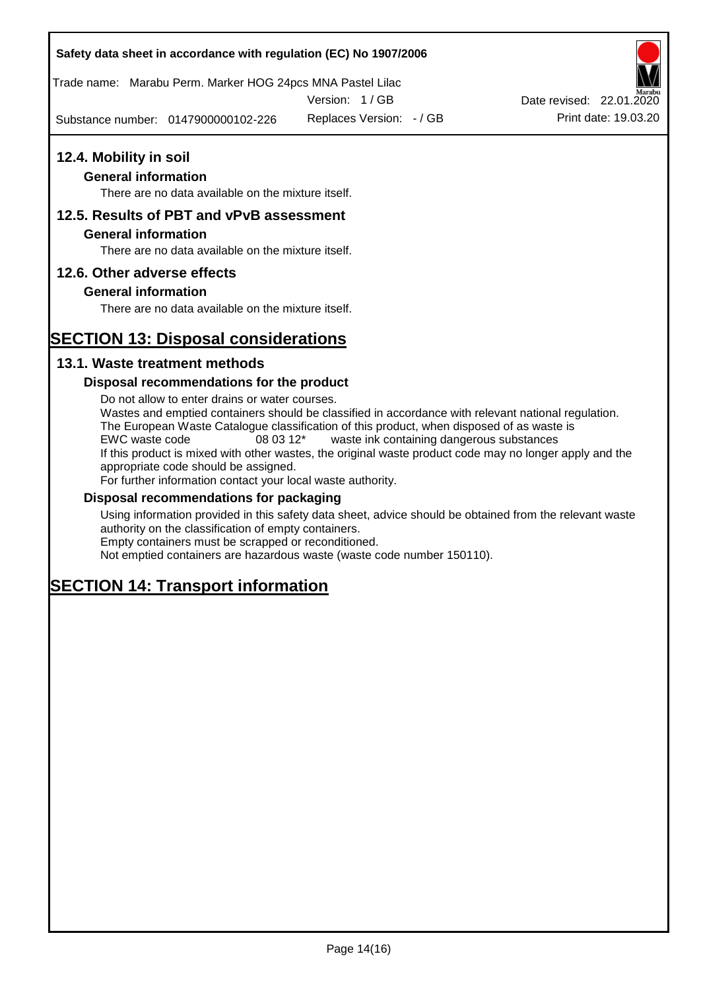# **Safety data sheet in accordance with regulation (EC) No 1907/2006**

Trade name: Marabu Perm. Marker HOG 24pcs MNA Pastel Lilac

Version: 1 / GB

Substance number: 0147900000102-226 Replaces Version:  $-$  / GB Print date: 19.03.20



### **General information**

There are no data available on the mixture itself.

# **12.5. Results of PBT and vPvB assessment**

### **General information**

There are no data available on the mixture itself.

# **12.6. Other adverse effects**

# **General information**

There are no data available on the mixture itself.

# **SECTION 13: Disposal considerations**

# **13.1. Waste treatment methods**

### **Disposal recommendations for the product**

Do not allow to enter drains or water courses. Wastes and emptied containers should be classified in accordance with relevant national regulation. The European Waste Catalogue classification of this product, when disposed of as waste is EWC waste code 08 03 12\* waste ink containing dangerous substances If this product is mixed with other wastes, the original waste product code may no longer apply and the appropriate code should be assigned. For further information contact your local waste authority.

### **Disposal recommendations for packaging**

Using information provided in this safety data sheet, advice should be obtained from the relevant waste authority on the classification of empty containers. Empty containers must be scrapped or reconditioned.

Not emptied containers are hazardous waste (waste code number 150110).

# **SECTION 14: Transport information**

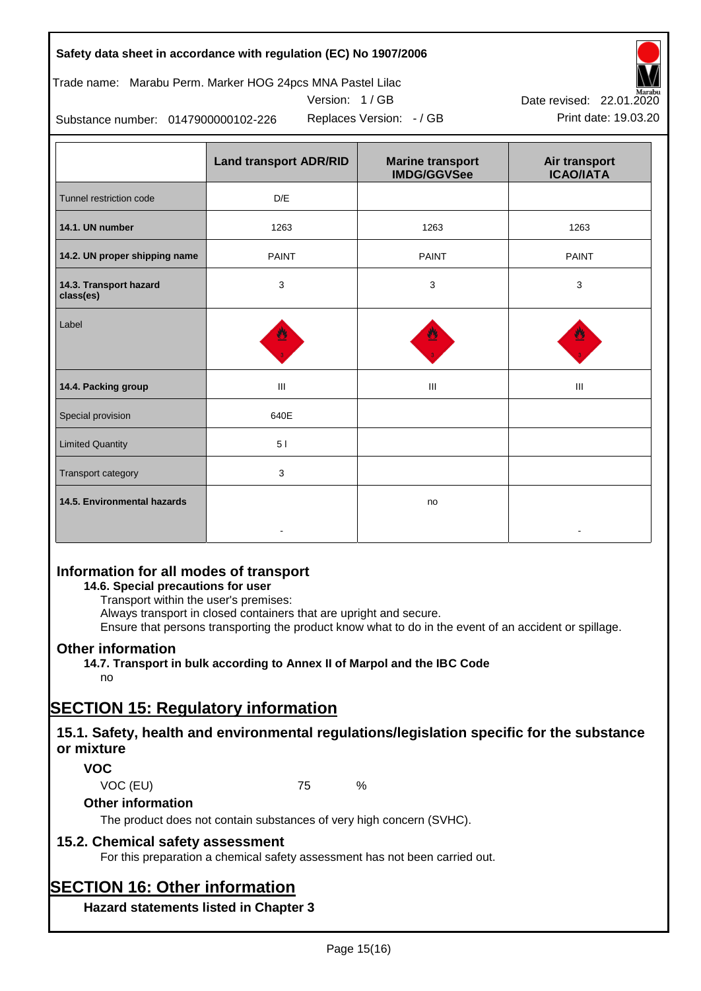# **Safety data sheet in accordance with regulation (EC) No 1907/2006**

# Trade name: Marabu Perm. Marker HOG 24pcs MNA Pastel Lilac





Replaces Version:  $-$  / GB Print date: 19.03.20 Date revised: 22.01.2020

Substance number: 0147900000102-226

|                                     | <b>Land transport ADR/RID</b> | <b>Marine transport</b><br><b>IMDG/GGVSee</b> | Air transport<br><b>ICAO/IATA</b> |
|-------------------------------------|-------------------------------|-----------------------------------------------|-----------------------------------|
| Tunnel restriction code             | D/E                           |                                               |                                   |
| 14.1. UN number                     | 1263                          | 1263                                          | 1263                              |
| 14.2. UN proper shipping name       | <b>PAINT</b>                  | <b>PAINT</b>                                  | <b>PAINT</b>                      |
| 14.3. Transport hazard<br>class(es) | 3                             | 3                                             | 3                                 |
| Label                               |                               |                                               |                                   |
| 14.4. Packing group                 | Ш                             | Ш                                             | Ш                                 |
| Special provision                   | 640E                          |                                               |                                   |
| <b>Limited Quantity</b>             | 51                            |                                               |                                   |
| Transport category                  | 3                             |                                               |                                   |
| 14.5. Environmental hazards         |                               | no                                            |                                   |

# **Information for all modes of transport**

# **14.6. Special precautions for user**

Transport within the user's premises:

Always transport in closed containers that are upright and secure.

Ensure that persons transporting the product know what to do in the event of an accident or spillage.

# **Other information**

**14.7. Transport in bulk according to Annex II of Marpol and the IBC Code** no

# **SECTION 15: Regulatory information**

# **15.1. Safety, health and environmental regulations/legislation specific for the substance or mixture**

# **VOC**

VOC (EU) 75 %

# **Other information**

The product does not contain substances of very high concern (SVHC).

# **15.2. Chemical safety assessment**

For this preparation a chemical safety assessment has not been carried out.

# **SECTION 16: Other information**

**Hazard statements listed in Chapter 3**